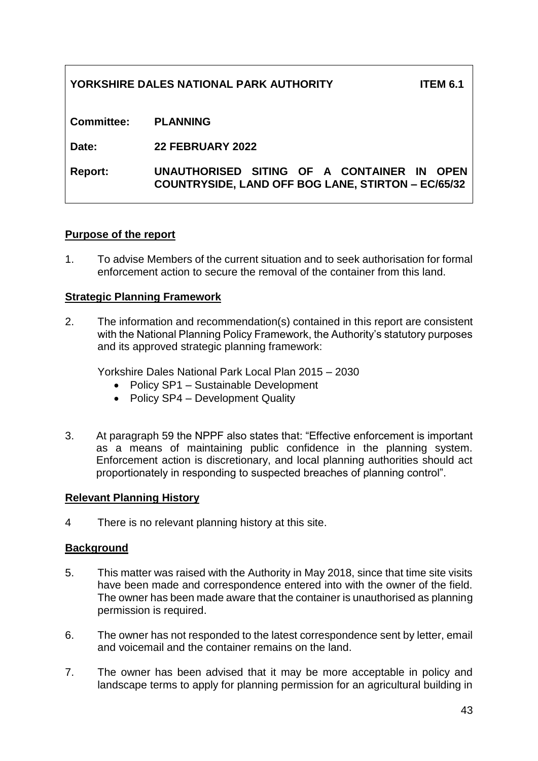# **YORKSHIRE DALES NATIONAL PARK AUTHORITY ITEM 6.1**

**Committee: PLANNING**

**Date: 22 FEBRUARY 2022**

**Report: UNAUTHORISED SITING OF A CONTAINER IN OPEN COUNTRYSIDE, LAND OFF BOG LANE, STIRTON – EC/65/32**

### **Purpose of the report**

1. To advise Members of the current situation and to seek authorisation for formal enforcement action to secure the removal of the container from this land.

#### **Strategic Planning Framework**

2. The information and recommendation(s) contained in this report are consistent with the National Planning Policy Framework, the Authority's statutory purposes and its approved strategic planning framework:

Yorkshire Dales National Park Local Plan 2015 – 2030

- Policy SP1 Sustainable Development
- Policy SP4 Development Quality
- 3. At paragraph 59 the NPPF also states that: "Effective enforcement is important as a means of maintaining public confidence in the planning system. Enforcement action is discretionary, and local planning authorities should act proportionately in responding to suspected breaches of planning control".

#### **Relevant Planning History**

4 There is no relevant planning history at this site.

### **Background**

- 5. This matter was raised with the Authority in May 2018, since that time site visits have been made and correspondence entered into with the owner of the field. The owner has been made aware that the container is unauthorised as planning permission is required.
- 6. The owner has not responded to the latest correspondence sent by letter, email and voicemail and the container remains on the land.
- 7. The owner has been advised that it may be more acceptable in policy and landscape terms to apply for planning permission for an agricultural building in